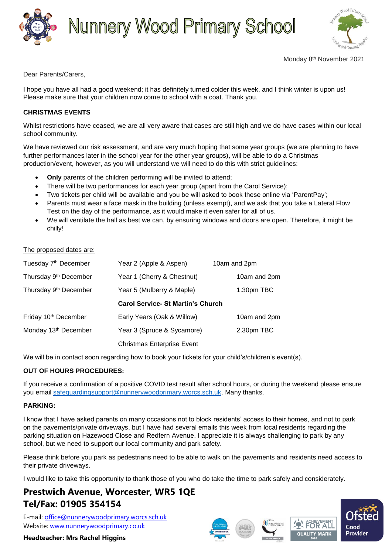

# **Nunnery Wood Primary School**



Dear Parents/Carers,

I hope you have all had a good weekend; it has definitely turned colder this week, and I think winter is upon us! Please make sure that your children now come to school with a coat. Thank you.

## **CHRISTMAS EVENTS**

Whilst restrictions have ceased, we are all very aware that cases are still high and we do have cases within our local school community.

We have reviewed our risk assessment, and are very much hoping that some year groups (we are planning to have further performances later in the school year for the other year groups), will be able to do a Christmas production/event, however, as you will understand we will need to do this with strict guidelines:

- **Only** parents of the children performing will be invited to attend;
- There will be two performances for each year group (apart from the Carol Service);
- Two tickets per child will be available and you be will asked to book these online via 'ParentPay';
- Parents must wear a face mask in the building (unless exempt), and we ask that you take a Lateral Flow Test on the day of the performance, as it would make it even safer for all of us.
- We will ventilate the hall as best we can, by ensuring windows and doors are open. Therefore, it might be chilly!

#### The proposed dates are:

| Tuesday 7 <sup>th</sup> December  | Year 2 (Apple & Aspen)                   | 10am and 2pm |
|-----------------------------------|------------------------------------------|--------------|
| Thursday 9 <sup>th</sup> December | Year 1 (Cherry & Chestnut)               | 10am and 2pm |
| Thursday 9 <sup>th</sup> December | Year 5 (Mulberry & Maple)                | 1.30pm TBC   |
|                                   | <b>Carol Service- St Martin's Church</b> |              |
| Friday 10 <sup>th</sup> December  | Early Years (Oak & Willow)               | 10am and 2pm |
| Monday 13 <sup>th</sup> December  | Year 3 (Spruce & Sycamore)               | 2.30pm TBC   |
|                                   | <b>Christmas Enterprise Event</b>        |              |

We will be in contact soon regarding how to book your tickets for your child's/children's event(s).

### **OUT OF HOURS PROCEDURES:**

If you receive a confirmation of a positive COVID test result after school hours, or during the weekend please ensure you email [safeguardingsupport@nunnerywoodprimary.worcs.sch.uk.](mailto:safeguardingsupport@nunnerywoodprimary.worcs.sch.uk) Many thanks.

### **PARKING:**

I know that I have asked parents on many occasions not to block residents' access to their homes, and not to park on the pavements/private driveways, but I have had several emails this week from local residents regarding the parking situation on Hazewood Close and Redfern Avenue. I appreciate it is always challenging to park by any school, but we need to support our local community and park safety.

Please think before you park as pedestrians need to be able to walk on the pavements and residents need access to their private driveways.

I would like to take this opportunity to thank those of you who do take the time to park safely and considerately.

# **Prestwich Avenue, Worcester, WR5 1QE Tel/Fax: 01905 354154**

E-mail: [office@nunnerywoodprimary.worcs.sch.uk](mailto:office@nunnerywoodprimary.worcs.sch.uk) Website: [www.nunnerywoodprimary.co.uk](http://www.nunnerywoodprimary.worcs.sch.uk/)

**Headteacher: Mrs Rachel Higgins**







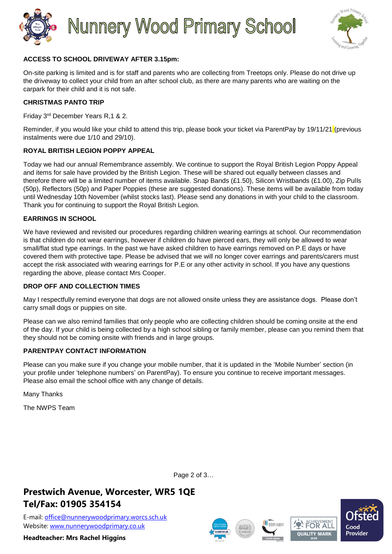



## **ACCESS TO SCHOOL DRIVEWAY AFTER 3.15pm:**

On-site parking is limited and is for staff and parents who are collecting from Treetops only. Please do not drive up the driveway to collect your child from an after school club, as there are many parents who are waiting on the carpark for their child and it is not safe.

### **CHRISTMAS PANTO TRIP**

Friday 3rd December Years R,1 & 2.

Reminder, if you would like your child to attend this trip, please book your ticket via ParentPay by 19/11/21 (previous instalments were due 1/10 and 29/10).

### **ROYAL BRITISH LEGION POPPY APPEAL**

Today we had our annual Remembrance assembly. We continue to support the Royal British Legion Poppy Appeal and items for sale have provided by the British Legion. These will be shared out equally between classes and therefore there will be a limited number of items available. Snap Bands (£1.50), Silicon Wristbands (£1.00), Zip Pulls (50p), Reflectors (50p) and Paper Poppies (these are suggested donations). These items will be available from today until Wednesday 10th November (whilst stocks last). Please send any donations in with your child to the classroom. Thank you for continuing to support the Royal British Legion.

#### **EARRINGS IN SCHOOL**

We have reviewed and revisited our procedures regarding children wearing earrings at school. Our recommendation is that children do not wear earrings, however if children do have pierced ears, they will only be allowed to wear small/flat stud type earrings. In the past we have asked children to have earrings removed on P.E days or have covered them with protective tape. Please be advised that we will no longer cover earrings and parents/carers must accept the risk associated with wearing earrings for P.E or any other activity in school. If you have any questions regarding the above, please contact Mrs Cooper.

#### **DROP OFF AND COLLECTION TIMES**

May I respectfully remind everyone that dogs are not allowed onsite unless they are assistance dogs. Please don't carry small dogs or puppies on site.

Please can we also remind families that only people who are collecting children should be coming onsite at the end of the day. If your child is being collected by a high school sibling or family member, please can you remind them that they should not be coming onsite with friends and in large groups.

#### **PARENTPAY CONTACT INFORMATION**

Please can you make sure if you change your mobile number, that it is updated in the 'Mobile Number' section (in your profile under 'telephone numbers' on ParentPay). To ensure you continue to receive important messages. Please also email the school office with any change of details.

Many Thanks

The NWPS Team

**Prestwich Avenue, Worcester, WR5 1QE Tel/Fax: 01905 354154**

E-mail: [office@nunnerywoodprimary.worcs.sch.uk](mailto:office@nunnerywoodprimary.worcs.sch.uk) Website: [www.nunnerywoodprimary.co.uk](http://www.nunnerywoodprimary.worcs.sch.uk/)

**Headteacher: Mrs Rachel Higgins**











Page 2 of 3…